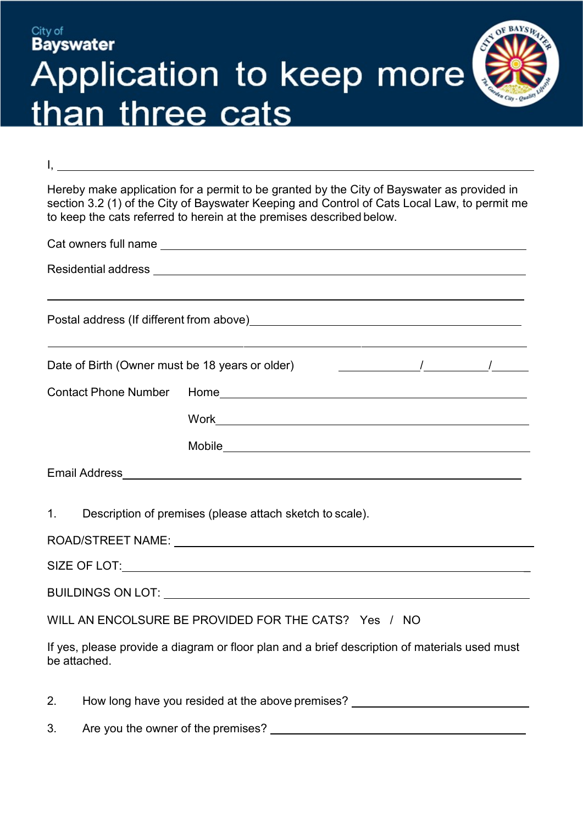## OF BAYSING City of **Bayswater** Application to keep more than three cats

Hereby make application for a permit to be granted by the City of Bayswater as provided in section 3.2 (1) of the City of Bayswater Keeping and Control of Cats Local Law, to permit me to keep the cats referred to herein at the premises described below.

I,

|                                                 | ,我们也不会有什么。""我们的人,我们也不会有什么?""我们的人,我们也不会有什么?""我们的人,我们也不会有什么?""我们的人,我们也不会有什么?""我们的人<br>Postal address (If different from above) Manual Assembly and the experiment of the posterior and the posterior |  |  |  |  |  |  |
|-------------------------------------------------|----------------------------------------------------------------------------------------------------------------------------------------------------------------------------------------------------|--|--|--|--|--|--|
| Date of Birth (Owner must be 18 years or older) |                                                                                                                                                                                                    |  |  |  |  |  |  |
|                                                 |                                                                                                                                                                                                    |  |  |  |  |  |  |
|                                                 |                                                                                                                                                                                                    |  |  |  |  |  |  |
|                                                 |                                                                                                                                                                                                    |  |  |  |  |  |  |
|                                                 |                                                                                                                                                                                                    |  |  |  |  |  |  |
|                                                 | 1. Description of premises (please attach sketch to scale).                                                                                                                                        |  |  |  |  |  |  |
|                                                 |                                                                                                                                                                                                    |  |  |  |  |  |  |
|                                                 |                                                                                                                                                                                                    |  |  |  |  |  |  |
|                                                 |                                                                                                                                                                                                    |  |  |  |  |  |  |
|                                                 | WILL AN ENCOLSURE BE PROVIDED FOR THE CATS? Yes / NO                                                                                                                                               |  |  |  |  |  |  |
|                                                 | If yes, please provide a diagram or floor plan and a brief description of materials used must                                                                                                      |  |  |  |  |  |  |

If yes, please provide a diagram or floor plan and a brief description of materials used must be attached.

2. How long have you resided at the above premises?

| 3. | Are you the owner of the premises? |  |
|----|------------------------------------|--|
|    |                                    |  |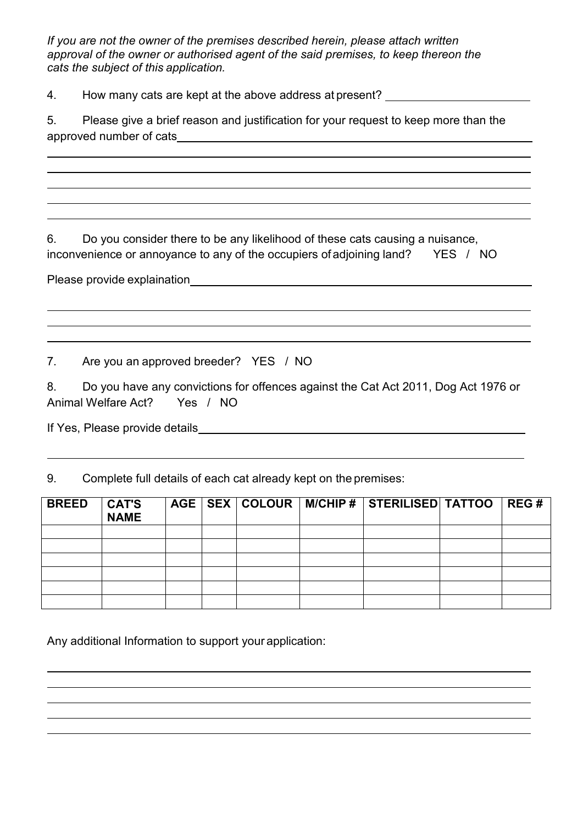*If you are not the owner of the premises described herein, please attach written approval of the owner or authorised agent of the said premises, to keep thereon the cats the subject of this application.*

4. How many cats are kept at the above address at present?

5. Please give a brief reason and justification for your request to keep more than the approved number of cats

6. Do you consider there to be any likelihood of these cats causing a nuisance, inconvenience or annoyance to any of the occupiers of adjoining land? YES / NO

Please provide explaination<br>
Section 2021 2022<br>
2022<br>
2022<br>
2023<br>
2023<br>
2023<br>
2023<br>
2023<br>
2023<br>
2023<br>
2023<br>
2023<br>
2023<br>
2023<br>
2023<br>
2024<br>
2024<br>
2024<br>
2024<br>
2024<br>
2025<br>
2024<br>
2025<br>
2025<br>
2025<br>
2025<br>
2025<br>
2025

7. Are you an approved breeder? YES / NO

8. Do you have any convictions for offences against the Cat Act 2011, Dog Act 1976 or Animal Welfare Act? Yes / NO

If Yes, Please provide details

9. Complete full details of each cat already kept on the premises:

| <b>BREED</b> | <b>CAT'S</b><br><b>NAME</b> |  |  | AGE   SEX   COLOUR   M/CHIP #   STERILISED   TATTOO   REG # |  |
|--------------|-----------------------------|--|--|-------------------------------------------------------------|--|
|              |                             |  |  |                                                             |  |
|              |                             |  |  |                                                             |  |
|              |                             |  |  |                                                             |  |
|              |                             |  |  |                                                             |  |
|              |                             |  |  |                                                             |  |
|              |                             |  |  |                                                             |  |

Any additional Information to support your application: